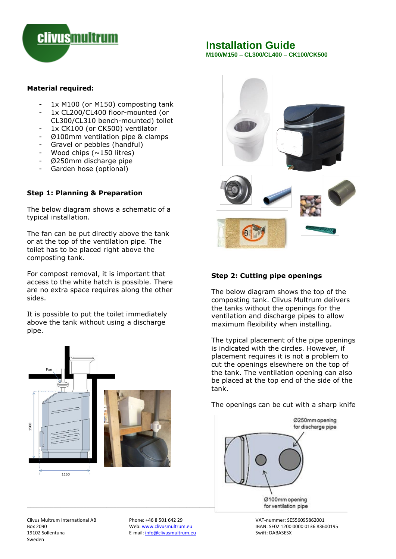

# **Installation Guide**

**M100/M150 – CL300/CL400 – CK100/CK500** 

#### **Material required:**

- 1x M100 (or M150) composting tank
- 1x CL200/CL400 floor-mounted (or CL300/CL310 bench-mounted) toilet
- 1x CK100 (or CK500) ventilator
- Ø100mm ventilation pipe & clamps
- Gravel or pebbles (handful)
- Wood chips ( $\sim$ 150 litres)
- Ø250mm discharge pipe
- Garden hose (optional)

# **Step 1: Planning & Preparation**

The below diagram shows a schematic of a typical installation.

The fan can be put directly above the tank or at the top of the ventilation pipe. The toilet has to be placed right above the composting tank.

For compost removal, it is important that access to the white hatch is possible. There are no extra space requires along the other sides.

It is possible to put the toilet immediately above the tank without using a discharge pipe.





tank.

The openings can be cut with a sharp knife



Web[: www.clivusmultrum.eu](http://www.clivusmultrum.eu/) IBAN: SE02 1200 0000 0136 83600195<br>E-mail: info@clivusmultrum.eu IBAN: Swift: DABASESX

Clivus Multrum International AB Phone: +46 8 501 642 29 VAT-nummer: SE556095862001 19102 Sollentuna Sweden

E-mail[: info@clivusmultrum.eu](mailto:info@clivusmultrum.eu)